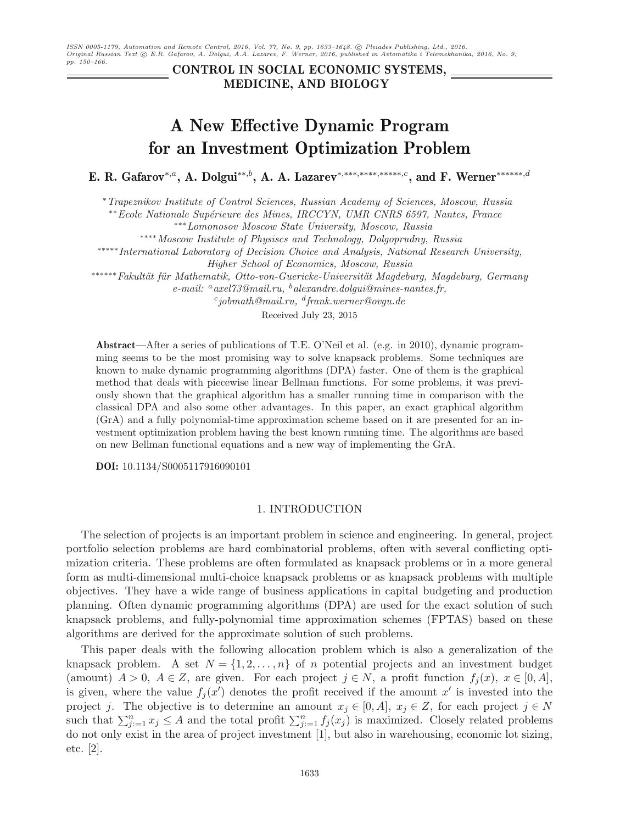ISSN 0005-1179, Automation and Remote Control, 2016, Vol. 77, No. 9, pp. 1633-1648. © Pleiades Publishing, Ltd., 2016. Original Russian Text © E.R. Gafarov, A. Dolgui, A.A. Lazarev, F. Werner, 2016, published in Avtomatika i Telemekhanika, 2016, No. 9, *pp. 150–166.*

**CONTROL IN SOCIAL ECONOMIC SYSTEMS, MEDICINE, AND BIOLOGY**

# **A New Effective Dynamic Program for an Investment Optimization Problem**

**E. R. Gafarov**∗,a**, A. Dolgui**∗∗,b**, A. A. Lazarev**∗,∗∗∗,∗∗∗∗,∗∗∗∗∗,c**, and F. Werner**∗∗∗∗∗∗,d

∗*Trapeznikov Institute of Control Sciences, Russian Academy of Sciences, Moscow, Russia*

∗∗*Ecole Nationale Sup´erieure des Mines, IRCCYN, UMR CNRS 6597, Nantes, France*

∗∗∗*Lomonosov Moscow State University, Moscow, Russia*

∗∗∗∗*Moscow Institute of Physiscs and Technology, Dolgoprudny, Russia*

∗∗∗∗∗*International Laboratory of Decision Choice and Analysis, National Research University,*

*Higher School of Economics, Moscow, Russia*

∗∗∗∗∗∗*Fakult¨at f¨ur Mathematik, Otto-von-Guericke-Universit¨at Magdeburg, Magdeburg, Germany*

*e-mail: <sup>a</sup>axel73@mail.ru, <sup>b</sup>alexandre.dolgui@mines-nantes.fr, <sup>c</sup>jobmath@mail.ru, <sup>d</sup>frank.werner@ovgu.de*

Received July 23, 2015

**Abstract—**After a series of publications of T.E. O'Neil et al. (e.g. in 2010), dynamic programming seems to be the most promising way to solve knapsack problems. Some techniques are known to make dynamic programming algorithms (DPA) faster. One of them is the graphical method that deals with piecewise linear Bellman functions. For some problems, it was previously shown that the graphical algorithm has a smaller running time in comparison with the classical DPA and also some other advantages. In this paper, an exact graphical algorithm (GrA) and a fully polynomial-time approximation scheme based on it are presented for an investment optimization problem having the best known running time. The algorithms are based on new Bellman functional equations and a new way of implementing the GrA.

**DOI:** 10.1134/S0005117916090101

# 1. INTRODUCTION

The selection of projects is an important problem in science and engineering. In general, project portfolio selection problems are hard combinatorial problems, often with several conflicting optimization criteria. These problems are often formulated as knapsack problems or in a more general form as multi-dimensional multi-choice knapsack problems or as knapsack problems with multiple objectives. They have a wide range of business applications in capital budgeting and production planning. Often dynamic programming algorithms (DPA) are used for the exact solution of such knapsack problems, and fully-polynomial time approximation schemes (FPTAS) based on these algorithms are derived for the approximate solution of such problems.

This paper deals with the following allocation problem which is also a generalization of the knapsack problem. A set  $N = \{1, 2, ..., n\}$  of *n* potential projects and an investment budget (amount)  $A > 0$ ,  $A \in \mathbb{Z}$ , are given. For each project  $j \in N$ , a profit function  $f_j(x)$ ,  $x \in [0, A]$ , is given, where the value  $f_j(x')$  denotes the profit received if the amount x' is invested into the project j. The objective is to determine an amount  $x_j \in [0, A]$ ,  $x_j \in Z$ , for each project  $j \in N$ such that  $\sum_{j=1}^n x_j \leq A$  and the total profit  $\sum_{j=1}^n f_j(x_j)$  is maximized. Closely related problems do not only exist in the area of project investment [1], but also in warehousing, economic lot sizing, etc. [2].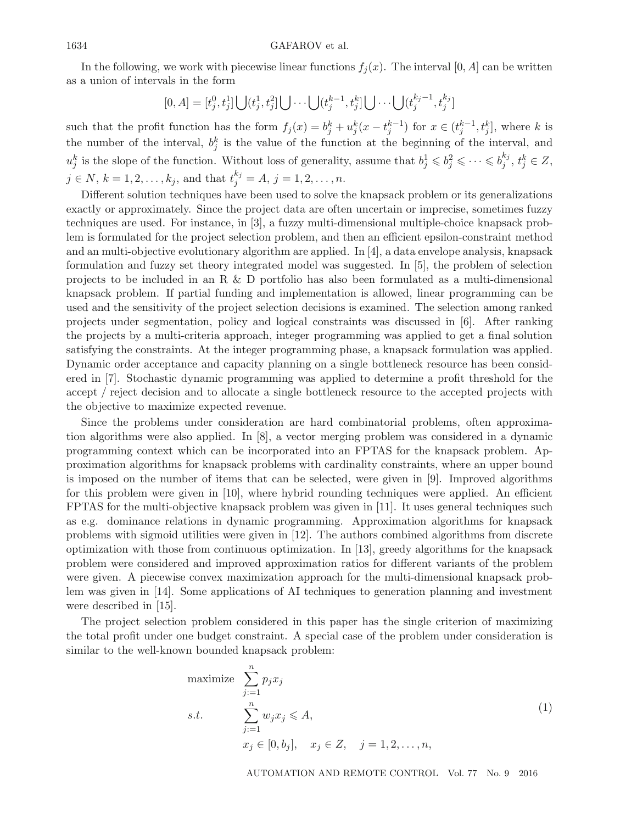In the following, we work with piecewise linear functions  $f_j(x)$ . The interval [0, A] can be written as a union of intervals in the form

$$
[0, A] = [t_j^0, t_j^1] \bigcup (t_j^1, t_j^2] \bigcup \cdots \bigcup (t_j^{k-1}, t_j^k] \bigcup \cdots \bigcup (t_j^{k_j-1}, t_j^{k_j}]
$$

such that the profit function has the form  $f_j(x) = b_j^k + u_j^k(x - t_j^{k-1})$  for  $x \in (t_j^{k-1}, t_j^k]$ , where k is the number of the interval,  $b_j^k$  is the value of the function at the beginning of the interval, and  $u_j^k$  is the slope of the function. Without loss of generality, assume that  $b_j^1 \leqslant b_j^2 \leqslant \cdots \leqslant b_j^{k_j}, t_j^k \in Z$ ,  $j \in N, k = 1, 2, ..., k_j$ , and that  $t_j^{k_j} = A, j = 1, 2, ..., n$ .

Different solution techniques have been used to solve the knapsack problem or its generalizations exactly or approximately. Since the project data are often uncertain or imprecise, sometimes fuzzy techniques are used. For instance, in [3], a fuzzy multi-dimensional multiple-choice knapsack problem is formulated for the project selection problem, and then an efficient epsilon-constraint method and an multi-objective evolutionary algorithm are applied. In [4], a data envelope analysis, knapsack formulation and fuzzy set theory integrated model was suggested. In [5], the problem of selection projects to be included in an R & D portfolio has also been formulated as a multi-dimensional knapsack problem. If partial funding and implementation is allowed, linear programming can be used and the sensitivity of the project selection decisions is examined. The selection among ranked projects under segmentation, policy and logical constraints was discussed in [6]. After ranking the projects by a multi-criteria approach, integer programming was applied to get a final solution satisfying the constraints. At the integer programming phase, a knapsack formulation was applied. Dynamic order acceptance and capacity planning on a single bottleneck resource has been considered in [7]. Stochastic dynamic programming was applied to determine a profit threshold for the accept / reject decision and to allocate a single bottleneck resource to the accepted projects with the objective to maximize expected revenue.

Since the problems under consideration are hard combinatorial problems, often approximation algorithms were also applied. In [8], a vector merging problem was considered in a dynamic programming context which can be incorporated into an FPTAS for the knapsack problem. Approximation algorithms for knapsack problems with cardinality constraints, where an upper bound is imposed on the number of items that can be selected, were given in [9]. Improved algorithms for this problem were given in [10], where hybrid rounding techniques were applied. An efficient FPTAS for the multi-objective knapsack problem was given in [11]. It uses general techniques such as e.g. dominance relations in dynamic programming. Approximation algorithms for knapsack problems with sigmoid utilities were given in [12]. The authors combined algorithms from discrete optimization with those from continuous optimization. In [13], greedy algorithms for the knapsack problem were considered and improved approximation ratios for different variants of the problem were given. A piecewise convex maximization approach for the multi-dimensional knapsack problem was given in [14]. Some applications of AI techniques to generation planning and investment were described in [15].

The project selection problem considered in this paper has the single criterion of maximizing the total profit under one budget constraint. A special case of the problem under consideration is similar to the well-known bounded knapsack problem:

maximize 
$$
\sum_{j:=1}^{n} p_j x_j
$$
  
s.t. 
$$
\sum_{j:=1}^{n} w_j x_j \leq A,
$$

$$
x_j \in [0, b_j], \quad x_j \in Z, \quad j = 1, 2, \dots, n,
$$
 (1)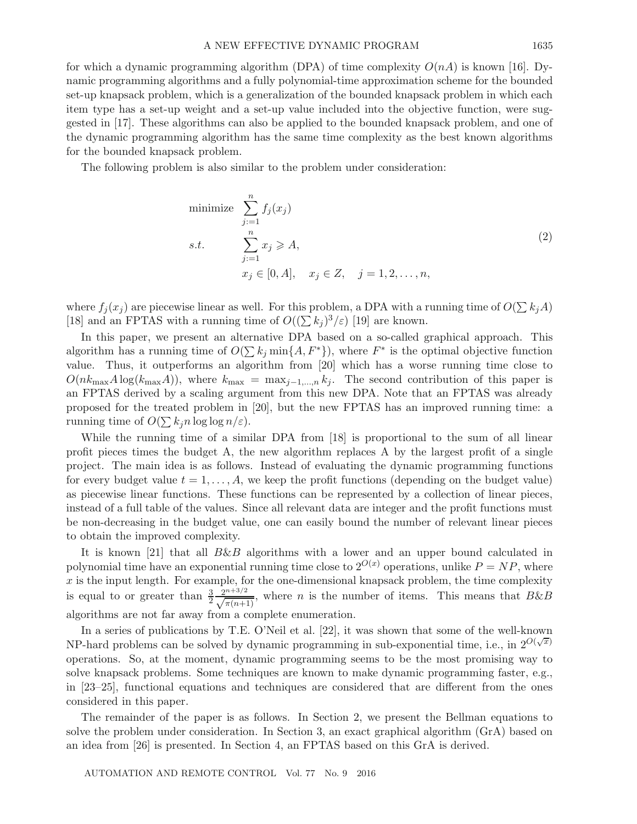for which a dynamic programming algorithm (DPA) of time complexity  $O(nA)$  is known [16]. Dynamic programming algorithms and a fully polynomial-time approximation scheme for the bounded set-up knapsack problem, which is a generalization of the bounded knapsack problem in which each item type has a set-up weight and a set-up value included into the objective function, were suggested in [17]. These algorithms can also be applied to the bounded knapsack problem, and one of the dynamic programming algorithm has the same time complexity as the best known algorithms for the bounded knapsack problem.

The following problem is also similar to the problem under consideration:

minimize 
$$
\sum_{j:=1}^{n} f_j(x_j)
$$
  
s.t. 
$$
\sum_{j:=1}^{n} x_j \ge A,
$$

$$
x_j \in [0, A], \quad x_j \in Z, \quad j = 1, 2, \dots, n,
$$

$$
(2)
$$

where  $f_j(x_j)$  are piecewise linear as well. For this problem, a DPA with a running time of  $O(\sum k_j A)$ [18] and an FPTAS with a running time of  $O((\sum k_j)^3/\varepsilon)$  [19] are known.

In this paper, we present an alternative DPA based on a so-called graphical approach. This algorithm has a running time of  $O(\sum k_j \min\{A, F^*\})$ , where  $F^*$  is the optimal objective function value. Thus, it outperforms an algorithm from [20] which has a worse running time close to  $O(nk_{\text{max}}A\log(k_{\text{max}}A))$ , where  $k_{\text{max}} = \max_{j=1,\dots,n} k_j$ . The second contribution of this paper is an FPTAS derived by a scaling argument from this new DPA. Note that an FPTAS was already proposed for the treated problem in [20], but the new FPTAS has an improved running time: a running time of  $O(\sum k_j n \log \log n/\varepsilon)$ .

While the running time of a similar DPA from [18] is proportional to the sum of all linear profit pieces times the budget A, the new algorithm replaces A by the largest profit of a single project. The main idea is as follows. Instead of evaluating the dynamic programming functions for every budget value  $t = 1, \ldots, A$ , we keep the profit functions (depending on the budget value) as piecewise linear functions. These functions can be represented by a collection of linear pieces, instead of a full table of the values. Since all relevant data are integer and the profit functions must be non-decreasing in the budget value, one can easily bound the number of relevant linear pieces to obtain the improved complexity.

It is known [21] that all  $B\&B$  algorithms with a lower and an upper bound calculated in polynomial time have an exponential running time close to  $2^{O(x)}$  operations, unlike  $P = NP$ , where  $x$  is the input length. For example, for the one-dimensional knapsack problem, the time complexity is equal to or greater than  $\frac{3}{2} \frac{2^{n+3/2}}{\sqrt{\pi (n+1)}}$ , where *n* is the number of items. This means that  $B\&B$ algorithms are not far away from a complete enumeration.

In a series of publications by T.E. O'Neil et al. [22], it was shown that some of the well-known NP-hard problems can be solved by dynamic programming in sub-exponential time, i.e., in  $2^{O(\sqrt{x})}$ operations. So, at the moment, dynamic programming seems to be the most promising way to solve knapsack problems. Some techniques are known to make dynamic programming faster, e.g., in [23–25], functional equations and techniques are considered that are different from the ones considered in this paper.

The remainder of the paper is as follows. In Section 2, we present the Bellman equations to solve the problem under consideration. In Section 3, an exact graphical algorithm (GrA) based on an idea from [26] is presented. In Section 4, an FPTAS based on this GrA is derived.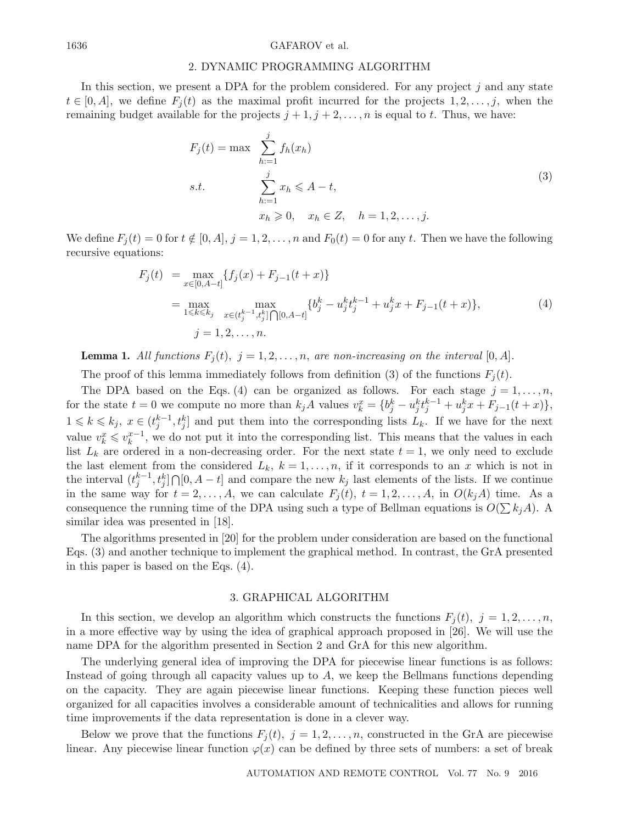## 2. DYNAMIC PROGRAMMING ALGORITHM

In this section, we present a DPA for the problem considered. For any project  $j$  and any state  $t \in [0, A]$ , we define  $F_i(t)$  as the maximal profit incurred for the projects  $1, 2, \ldots, j$ , when the remaining budget available for the projects  $j + 1, j + 2, \ldots, n$  is equal to t. Thus, we have:

$$
F_j(t) = \max \sum_{h:=1}^j f_h(x_h)
$$
  
s.t. 
$$
\sum_{h:=1}^j x_h \le A - t,
$$

$$
x_h \ge 0, \quad x_h \in Z, \quad h = 1, 2, ..., j.
$$

$$
(3)
$$

We define  $F_j(t) = 0$  for  $t \notin [0, A], j = 1, 2, \ldots, n$  and  $F_0(t) = 0$  for any t. Then we have the following recursive equations:

$$
F_j(t) = \max_{x \in [0, A-t]} \{ f_j(x) + F_{j-1}(t+x) \}
$$
  
= 
$$
\max_{1 \le k \le k_j} \max_{x \in (t_j^{k-1}, t_j^k] \cap [0, A-t]} \{ b_j^k - u_j^k t_j^{k-1} + u_j^k x + F_{j-1}(t+x) \},
$$
  

$$
j = 1, 2, ..., n.
$$
 (4)

**Lemma 1.** All functions  $F_i(t)$ ,  $j = 1, 2, ..., n$ , are non-increasing on the interval [0, A].

The proof of this lemma immediately follows from definition (3) of the functions  $F_i(t)$ .

The DPA based on the Eqs. (4) can be organized as follows. For each stage  $j = 1, \ldots, n$ , for the state  $t = 0$  we compute no more than  $k_j A$  values  $v_k^x = \{b_j^k - u_j^k t_j^{k-1} + u_j^k x + F_{j-1}(t+x)\},\$  $1 \leq k \leq k_j, x \in (t_j^{k-1}, t_j^k]$  and put them into the corresponding lists  $L_k$ . If we have for the next value  $v_k^x \leq v_k^{x-1}$ , we do not put it into the corresponding list. This means that the values in each list  $L_k$  are ordered in a non-decreasing order. For the next state  $t = 1$ , we only need to exclude the last element from the considered  $L_k$ ,  $k = 1, \ldots, n$ , if it corresponds to an x which is not in the interval  $(t_j^{k-1}, t_j^k] \bigcap [0, A - t]$  and compare the new  $k_j$  last elements of the lists. If we continue in the same way for  $t = 2, ..., A$ , we can calculate  $F_j(t)$ ,  $t = 1, 2, ..., A$ , in  $O(k_jA)$  time. As a consequence the running time of the DPA using such a type of Bellman equations is  $O(\sum k_j A)$ . A similar idea was presented in [18].

The algorithms presented in [20] for the problem under consideration are based on the functional Eqs. (3) and another technique to implement the graphical method. In contrast, the GrA presented in this paper is based on the Eqs. (4).

#### 3. GRAPHICAL ALGORITHM

In this section, we develop an algorithm which constructs the functions  $F_i(t)$ ,  $j = 1, 2, \ldots, n$ , in a more effective way by using the idea of graphical approach proposed in [26]. We will use the name DPA for the algorithm presented in Section 2 and GrA for this new algorithm.

The underlying general idea of improving the DPA for piecewise linear functions is as follows: Instead of going through all capacity values up to  $A$ , we keep the Bellmans functions depending on the capacity. They are again piecewise linear functions. Keeping these function pieces well organized for all capacities involves a considerable amount of technicalities and allows for running time improvements if the data representation is done in a clever way.

Below we prove that the functions  $F_i(t)$ ,  $j = 1, 2, \ldots, n$ , constructed in the GrA are piecewise linear. Any piecewise linear function  $\varphi(x)$  can be defined by three sets of numbers: a set of break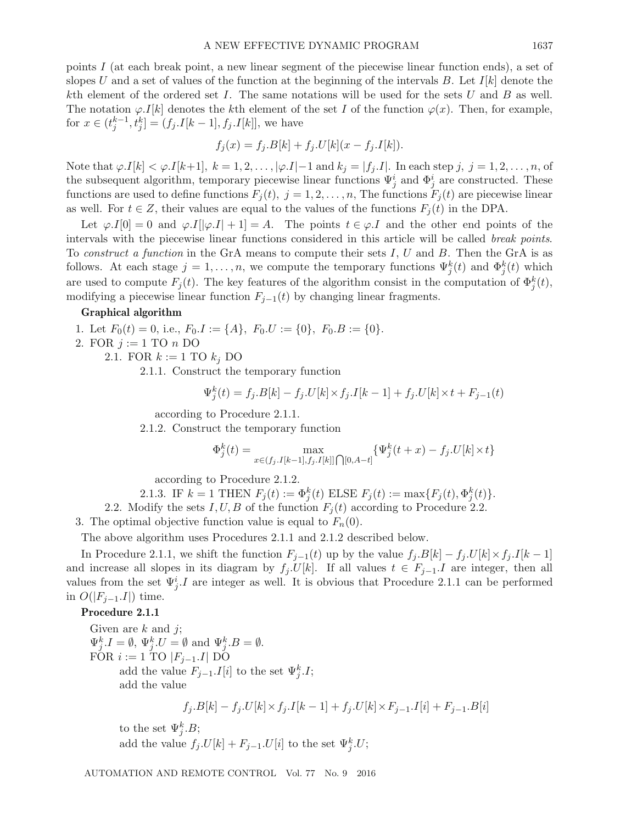points I (at each break point, a new linear segment of the piecewise linear function ends), a set of slopes U and a set of values of the function at the beginning of the intervals B. Let  $I[k]$  denote the kth element of the ordered set I. The same notations will be used for the sets U and B as well. The notation  $\varphi.I[k]$  denotes the kth element of the set I of the function  $\varphi(x)$ . Then, for example, for  $x \in (t_j^{k-1}, t_j^k] = (f_j . I[k-1], f_j . I[k]],$  we have

$$
f_j(x) = f_j.B[k] + f_j.U[k](x - f_j.I[k]).
$$

Note that  $\varphi I[k] < \varphi I[k+1], k = 1, 2, \ldots, |\varphi I| - 1$  and  $k_j = |f_j I|$ . In each step j,  $j = 1, 2, \ldots, n$ , of the subsequent algorithm, temporary piecewise linear functions  $\Psi_j^i$  and  $\Phi_j^i$  are constructed. These functions are used to define functions  $F_j(t)$ ,  $j = 1, 2, \ldots, n$ , The functions  $F_j(t)$  are piecewise linear as well. For  $t \in Z$ , their values are equal to the values of the functions  $F_i(t)$  in the DPA.

Let  $\varphi.I[0] = 0$  and  $\varphi.I[|\varphi.I|+1] = A$ . The points  $t \in \varphi.I$  and the other end points of the intervals with the piecewise linear functions considered in this article will be called *break points*. To *construct a function* in the GrA means to compute their sets I, U and B. Then the GrA is as follows. At each stage  $j = 1, ..., n$ , we compute the temporary functions  $\Psi_j^k(t)$  and  $\Phi_j^k(t)$  which are used to compute  $F_j(t)$ . The key features of the algorithm consist in the computation of  $\Phi_j^k(t)$ , modifying a piecewise linear function  $F_{j-1}(t)$  by changing linear fragments.

## **Graphical algorithm**

1. Let  $F_0(t)=0$ , i.e.,  $F_0.I := \{A\}$ ,  $F_0.U := \{0\}$ ,  $F_0.B := \{0\}$ .

2. FOR  $j := 1$  TO  $n$  DO

2.1. FOR  $k := 1$  TO  $k_i$  DO

2.1.1. Construct the temporary function

$$
\Psi_j^k(t)=f_j.B[k]-f_j.U[k]\times f_j.I[k-1]+f_j.U[k]\times t+F_{j-1}(t)
$$

according to Procedure 2.1.1.

2.1.2. Construct the temporary function

$$
\Phi_j^k(t) = \max_{x \in (f_j, I[k-1], f_j, I[k]] \bigcap [0, A-t]} \{ \Psi_j^k(t+x) - f_j. U[k] \times t \}
$$

according to Procedure 2.1.2.

2.1.3. IF 
$$
k = 1
$$
 THEN  $F_j(t) := \Phi_j^k(t)$  ELSE  $F_j(t) := \max\{F_j(t), \Phi_j^k(t)\}.$ 

2.2. Modify the sets  $I, U, B$  of the function  $F_j(t)$  according to Procedure 2.2.

3. The optimal objective function value is equal to  $F_n(0)$ .

The above algorithm uses Procedures 2.1.1 and 2.1.2 described below.

In Procedure 2.1.1, we shift the function  $F_{j-1}(t)$  up by the value  $f_i.B[k] - f_i.U[k] \times f_i.I[k-1]$ and increase all slopes in its diagram by  $f_j.U[k]$ . If all values  $t \in F_{j-1}.$  are integer, then all values from the set  $\Psi_j^i$ . I are integer as well. It is obvious that Procedure 2.1.1 can be performed in  $O(|F_{j-1}.I|)$  time.

**Procedure 2.1.1**

Given are  $k$  and  $j$ ;  $\Psi_j^k$ . $I = \emptyset$ ,  $\Psi_j^k$ . $U = \emptyset$  and  $\Psi_j^k$ . $B = \emptyset$ . FOR  $i := 1$  TO  $|F_{j-1}.I|$  DO add the value  $F_{j-1}.I[i]$  to the set  $\Psi_j^k.I;$ add the value

$$
f_j.B[k] - f_j.U[k] \times f_j.I[k-1] + f_j.U[k] \times F_{j-1}.I[i] + F_{j-1}.B[i]
$$

to the set  $\Psi_j^k$ .*B*; add the value  $f_j.U[k]+F_{j-1}.U[i]$  to the set  $\Psi_j^k.U;$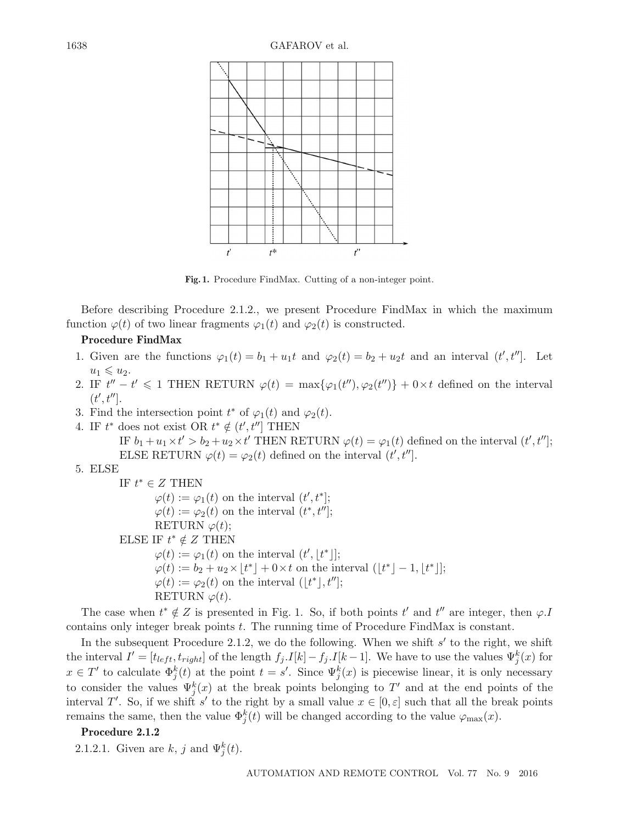

**Fig. 1.** Procedure FindMax. Cutting of a non-integer point.

Before describing Procedure 2.1.2., we present Procedure FindMax in which the maximum function  $\varphi(t)$  of two linear fragments  $\varphi_1(t)$  and  $\varphi_2(t)$  is constructed.

# **Procedure FindMax**

- 1. Given are the functions  $\varphi_1(t) = b_1 + u_1 t$  and  $\varphi_2(t) = b_2 + u_2 t$  and an interval  $(t', t'']$ . Let  $u_1 \leqslant u_2.$
- 2. IF  $t'' t' \leq 1$  THEN RETURN  $\varphi(t) = \max{\lbrace \varphi_1(t''), \varphi_2(t'') \rbrace} + 0 \times t$  defined on the interval  $(t',t'']$ .
- 3. Find the intersection point  $t^*$  of  $\varphi_1(t)$  and  $\varphi_2(t)$ .
- 4. IF  $t^*$  does not exist OR  $t^* \notin (t', t'']$  THEN

IF  $b_1 + u_1 \times t' > b_2 + u_2 \times t'$  THEN RETURN  $\varphi(t) = \varphi_1(t)$  defined on the interval  $(t', t'']$ ; ELSE RETURN  $\varphi(t) = \varphi_2(t)$  defined on the interval  $(t', t'']$ .

5. ELSE

IF  $t^* \in Z$  THEN  $\varphi(t) := \varphi_1(t)$  on the interval  $(t', t^*];$  $\varphi(t) := \varphi_2(t)$  on the interval  $(t^*, t'']$ ; RETURN  $\varphi(t)$ ; ELSE IF  $t^* \notin Z$  THEN  $\varphi(t) := \varphi_1(t)$  on the interval  $(t', \lfloor t^* \rfloor]$ ;  $\varphi(t) := b_2 + u_2 \times \lfloor t^* \rfloor + 0 \times t$  on the interval  $(\lfloor t^* \rfloor - 1, \lfloor t^* \rfloor];$  $\varphi(t) := \varphi_2(t)$  on the interval  $(\lfloor t^* \rfloor, t'']$ ; RETURN  $\varphi(t)$ .

The case when  $t^* \notin Z$  is presented in Fig. 1. So, if both points  $t'$  and  $t''$  are integer, then  $\varphi.I$ contains only integer break points t. The running time of Procedure FindMax is constant.

In the subsequent Procedure 2.1.2, we do the following. When we shift  $s'$  to the right, we shift the interval  $I' = [t_{left}, t_{right}]$  of the length  $f_j . I[k] - f_j . I[k-1]$ . We have to use the values  $\Psi_j^k(x)$  for  $x \in T'$  to calculate  $\Phi_j^k(t)$  at the point  $t = s'$ . Since  $\Psi_j^k(x)$  is piecewise linear, it is only necessary to consider the values  $\Psi_j^k(x)$  at the break points belonging to T' and at the end points of the interval T'. So, if we shift s' to the right by a small value  $x \in [0, \varepsilon]$  such that all the break points remains the same, then the value  $\Phi_j^k(t)$  will be changed according to the value  $\varphi_{\text{max}}(x)$ .

# **Procedure 2.1.2**

2.1.2.1. Given are  $k, j$  and  $\Psi_j^k(t)$ .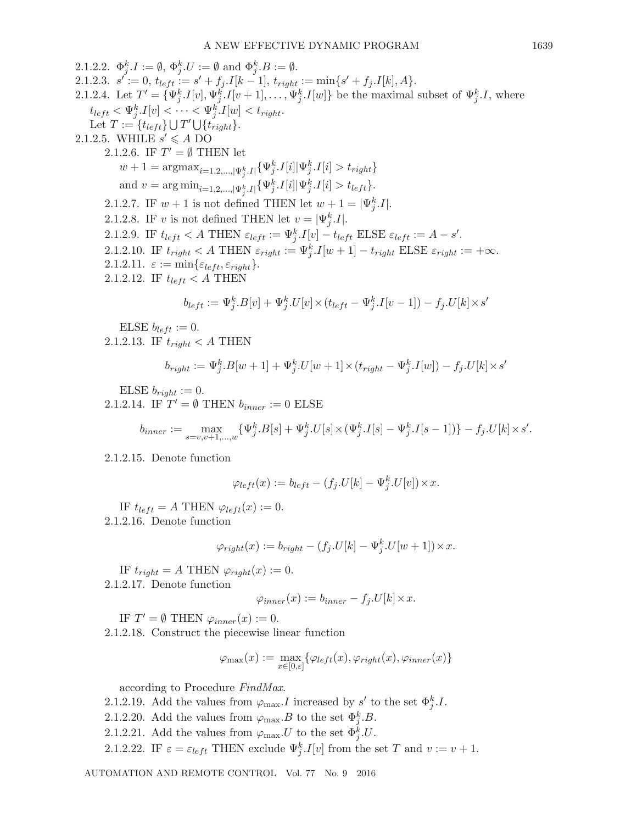2.1.2.2.  $\Phi_j^k I := \emptyset$ ,  $\Phi_j^k.U := \emptyset$  and  $\Phi_j^k.B := \emptyset$ . 2.1.2.3.  $s' := 0$ ,  $t_{left} := s' + f_j \cdot I[k-1]$ ,  $t_{right} := \min\{s' + f_j \cdot I[k], A\}.$ 2.1.2.4. Let  $T' = {\Psi_j^k \cdot I[v], \Psi_j^k \cdot I[v+1], \ldots, \Psi_j^k \cdot I[w]}$  be the maximal subset of  $\Psi_j^k \cdot I$ , where  $t_{left} < \Psi_j^k.I[v] < \cdots < \Psi_j^k.I[w] < t_{right}.$ Let  $T := \{t_{left}\} \bigcup T' \bigcup \{t_{right}\}.$ 2.1.2.5. WHILE  $s' \leqslant A$  DO 2.1.2.6. IF  $T' = \emptyset$  THEN let  $w + 1 = \text{argmax}_{i=1,2,\dots,|\Psi_j^k I|} \{ \Psi_j^k I[i] | \Psi_j^k I[i] > t_{right} \}$ and  $v = \arg \min_{i=1,2,\dots,|\Psi_j^k,I|} \{ \Psi_j^k.I[i] | \Psi_j^k.I[i] > t_{left} \}.$ 2.1.2.7. IF  $w + 1$  is not defined THEN let  $w + 1 = |\Psi_j^k I|.$ 2.1.2.8. IF v is not defined THEN let  $v = |\Psi_j^k I|.$ 2.1.2.9. IF  $t_{left} < A$  THEN  $\varepsilon_{left} := \Psi_j^k I[v] - t_{left}$  ELSE  $\varepsilon_{left} := A - s'.$ 2.1.2.10. IF  $t_{right} < A$  THEN  $\varepsilon_{right} := \Psi_j^k I[w+1] - t_{right}$  ELSE  $\varepsilon_{right} := +\infty$ . 2.1.2.11.  $\varepsilon := \min\{\varepsilon_{left}, \varepsilon_{right}\}.$ 2.1.2.12. IF  $t_{left} < A$  THEN  $b_{left} := \Psi_j^k . B[v] + \Psi_j^k . U[v] \times \left(t_{left} - \Psi_j^k . I[v-1]\right) - f_j . U[k] \times s'$ ELSE  $b_{left} := 0$ . 2.1.2.13. IF  $t_{right} < A$  THEN

$$
b_{right} := \Psi_j^k . B[w+1] + \Psi_j^k . U[w+1] \times (t_{right} - \Psi_j^k . I[w]) - f_j . U[k] \times s'
$$

ELSE  $b_{riaht} := 0$ .

2.1.2.14. IF 
$$
T' = \emptyset
$$
 THEN  $b_{inner} := 0$  ELSE

$$
b_{inner} := \max_{s=v, v+1, ..., w} \{ \Psi_j^k \cdot B[s] + \Psi_j^k \cdot U[s] \times (\Psi_j^k \cdot I[s] - \Psi_j^k \cdot I[s-1]) \} - f_j \cdot U[k] \times s'.
$$

2.1.2.15. Denote function

$$
\varphi_{left}(x) := b_{left} - (f_j.U[k] - \Psi_j^k.U[v]) \times x.
$$

IF  $t_{left} = A$  THEN  $\varphi_{left}(x) := 0$ . 2.1.2.16. Denote function

$$
\varphi_{right}(x) := b_{right} - (f_j.U[k] - \Psi_j^k.U[w+1]) \times x.
$$

IF  $t_{right} = A$  THEN  $\varphi_{right}(x) := 0$ . 2.1.2.17. Denote function

$$
\varphi_{inner}(x) := b_{inner} - f_j.U[k] \times x.
$$

IF  $T' = \emptyset$  THEN  $\varphi_{inner}(x) := 0$ .

2.1.2.18. Construct the piecewise linear function

$$
\varphi_{\max}(x) := \max_{x \in [0,\varepsilon]} \{ \varphi_{left}(x), \varphi_{right}(x), \varphi_{inner}(x) \}
$$

according to Procedure *FindMax*.

- 2.1.2.19. Add the values from  $\varphi_{\text{max}}.I$  increased by s' to the set  $\Phi_j^k. I$ .
- 2.1.2.20. Add the values from  $\varphi_{\text{max}}.B$  to the set  $\Phi_j^k.B$ .
- 2.1.2.21. Add the values from  $\varphi_{\text{max}}.U$  to the set  $\Phi_j^k.U$ .
- 2.1.2.22. IF  $\varepsilon = \varepsilon_{left}$  THEN exclude  $\Psi_j^k$ .  $I[v]$  from the set T and  $v := v + 1$ .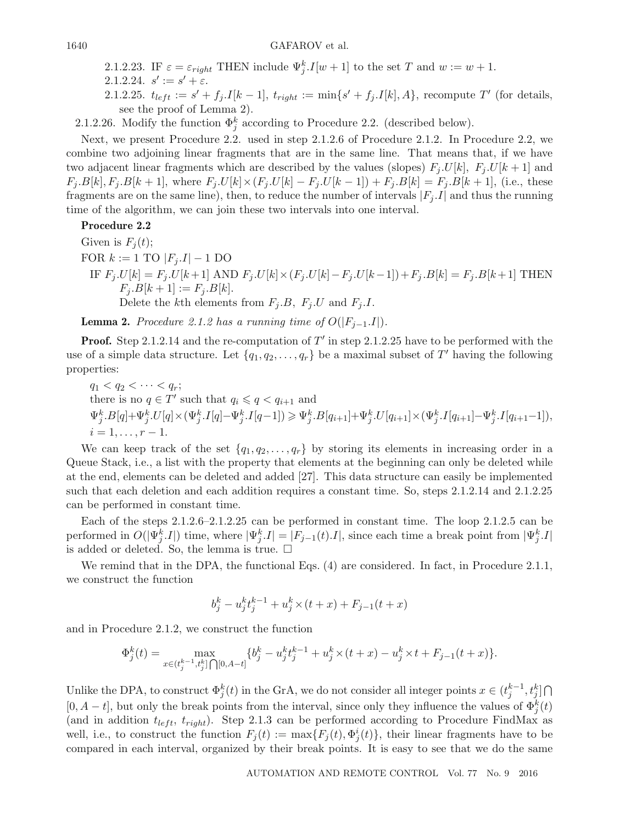- 2.1.2.23. IF  $\varepsilon = \varepsilon_{right}$  THEN include  $\Psi_j^k I[w+1]$  to the set T and  $w := w + 1$ .
- 2.1.2.24.  $s' := s' + \varepsilon$ .
- 2.1.2.25.  $t_{left} := s' + f_j I[k-1], t_{right} := \min\{s' + f_j I[k], A\}$ , recompute T' (for details, see the proof of Lemma 2).
- 2.1.2.26. Modify the function  $\Phi_j^k$  according to Procedure 2.2. (described below).

Next, we present Procedure 2.2. used in step 2.1.2.6 of Procedure 2.1.2. In Procedure 2.2, we combine two adjoining linear fragments that are in the same line. That means that, if we have two adjacent linear fragments which are described by the values (slopes)  $F_i U[k], F_i U[k + 1]$  and  $F_j . B[k], F_j . B[k+1],$  where  $F_j . U[k] \times (F_j . U[k] - F_j . U[k-1]) + F_j . B[k] = F_j . B[k+1],$  (i.e., these fragments are on the same line), then, to reduce the number of intervals  $|F_i I|$  and thus the running time of the algorithm, we can join these two intervals into one interval.

# **Procedure 2.2**

Given is  $F_i(t)$ ;

- FOR  $k := 1$  TO  $|F_i.I| 1$  DO
- IF  $F_j.U[k] = F_j.U[k+1]$  AND  $F_j.U[k] \times (F_j.U[k] F_j.U[k-1]) + F_j.B[k] = F_j.B[k+1]$  THEN  $F_j.B[k+1] := F_j.B[k].$ Delete the kth elements from  $F_j.B, F_j.U$  and  $F_j.I$ .

**Lemma 2.** *Procedure 2.1.2 has a running time of*  $O(|F_{j-1}.I|)$ *.* 

**Proof.** Step 2.1.2.14 and the re-computation of  $T'$  in step 2.1.2.25 have to be performed with the use of a simple data structure. Let  $\{q_1, q_2, \ldots, q_r\}$  be a maximal subset of T' having the following properties:

 $q_1 < q_2 < \cdots < q_r;$ there is no  $q \in T'$  such that  $q_i \leqslant q < q_{i+1}$  and  $\Psi_j^k . B[q] + \Psi_j^k . U[q] \times (\Psi_j^k . I[q] - \Psi_j^k . I[q-1]) \geqslant \Psi_j^k . B[q_{i+1}] + \Psi_j^k . U[q_{i+1}] \times (\Psi_j^k . I[q_{i+1}] - \Psi_j^k . I[q_{i+1}-1]),$  $i = 1, \ldots, r - 1.$ 

We can keep track of the set  $\{q_1, q_2, \ldots, q_r\}$  by storing its elements in increasing order in a Queue Stack, i.e., a list with the property that elements at the beginning can only be deleted while at the end, elements can be deleted and added [27]. This data structure can easily be implemented such that each deletion and each addition requires a constant time. So, steps 2.1.2.14 and 2.1.2.25 can be performed in constant time.

Each of the steps 2.1.2.6–2.1.2.25 can be performed in constant time. The loop 2.1.2.5 can be performed in  $O(|\Psi_j^k,I|)$  time, where  $|\Psi_j^k.I| = |F_{j-1}(t).I|$ , since each time a break point from  $|\Psi_j^k.I|$ is added or deleted. So, the lemma is true.  $\Box$ 

We remind that in the DPA, the functional Eqs. (4) are considered. In fact, in Procedure 2.1.1, we construct the function

$$
b_j^k - u_j^k t_j^{k-1} + u_j^k \times (t+x) + F_{j-1}(t+x)
$$

and in Procedure 2.1.2, we construct the function

$$
\Phi_j^k(t) = \max_{x\in (t_j^{k-1},t_j^k]\bigcap [0,A-t]} \{b_j^k - u_j^k t_j^{k-1} + u_j^k \times (t+x) - u_j^k \times t + F_{j-1}(t+x)\}.
$$

Unlike the DPA, to construct  $\Phi_j^k(t)$  in the GrA, we do not consider all integer points  $x \in (t_j^{k-1}, t_j^k] \cap$ [0, A – t], but only the break points from the interval, since only they influence the values of  $\Phi_j^k(t)$ (and in addition  $t_{left}$ ,  $t_{right}$ ). Step 2.1.3 can be performed according to Procedure FindMax as well, i.e., to construct the function  $F_j(t) := \max\{F_j(t), \Phi_j^i(t)\}\$ , their linear fragments have to be compared in each interval, organized by their break points. It is easy to see that we do the same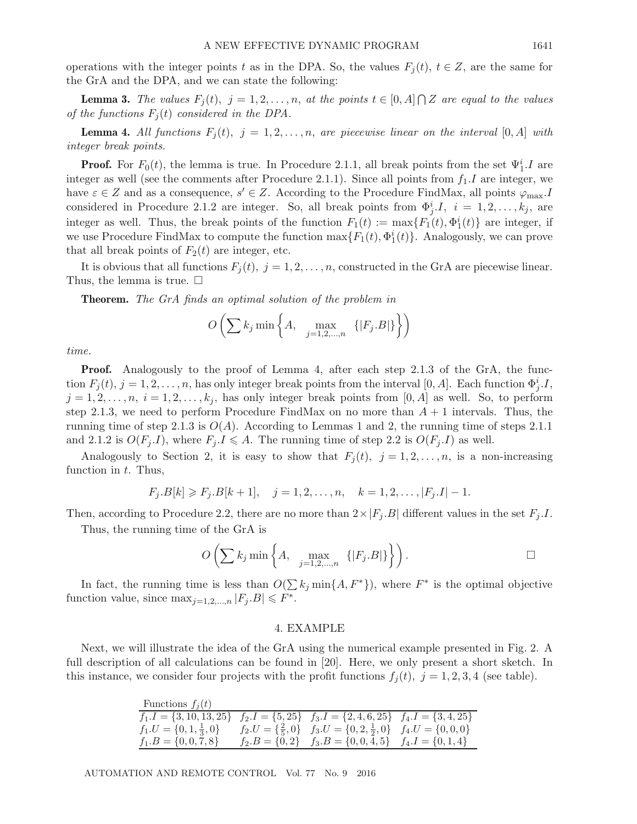operations with the integer points t as in the DPA. So, the values  $F_j(t)$ ,  $t \in Z$ , are the same for the GrA and the DPA, and we can state the following:

**Lemma 3.** The values  $F_j(t)$ ,  $j = 1, 2, ..., n$ , at the points  $t \in [0, A] \cap Z$  are equal to the values *of the functions*  $F_i(t)$  *considered in the DPA.* 

**Lemma 4.** All functions  $F_j(t)$ ,  $j = 1, 2, ..., n$ , are piecewise linear on the interval [0, A] with *integer break points.*

**Proof.** For  $F_0(t)$ , the lemma is true. In Procedure 2.1.1, all break points from the set  $\Psi_1^i$ . I are integer as well (see the comments after Procedure 2.1.1). Since all points from  $f_1$ . I are integer, we have  $\varepsilon \in Z$  and as a consequence,  $s' \in Z$ . According to the Procedure FindMax, all points  $\varphi_{\text{max}}$ . considered in Procedure 2.1.2 are integer. So, all break points from  $\Phi_j^i I$ ,  $i = 1, 2, \ldots, k_j$ , are integer as well. Thus, the break points of the function  $F_1(t) := \max\{F_1(t), \Phi_1^i(t)\}\$ are integer, if we use Procedure FindMax to compute the function  $\max\{F_1(t), \Phi_1^i(t)\}\$ . Analogously, we can prove that all break points of  $F_2(t)$  are integer, etc.

It is obvious that all functions  $F_j(t)$ ,  $j = 1, 2, ..., n$ , constructed in the GrA are piecewise linear. Thus, the lemma is true.  $\square$ 

**Theorem.** *The GrA finds an optimal solution of the problem in*

$$
O\left(\sum k_j \min\left\{A, \max_{j=1,2,\dots,n} \left\{|F_j.B|\right\}\right\}\right)
$$

*time.*

**Proof.** Analogously to the proof of Lemma 4, after each step 2.1.3 of the GrA, the function  $F_j(t)$ ,  $j = 1, 2, ..., n$ , has only integer break points from the interval [0, A]. Each function  $\Phi_j^i$ .  $j = 1, 2, \ldots, n, i = 1, 2, \ldots, k_j$ , has only integer break points from [0, A] as well. So, to perform step 2.1.3, we need to perform Procedure FindMax on no more than  $A + 1$  intervals. Thus, the running time of step 2.1.3 is  $O(A)$ . According to Lemmas 1 and 2, the running time of steps 2.1.1 and 2.1.2 is  $O(F_j I)$ , where  $F_j I \leqslant A$ . The running time of step 2.2 is  $O(F_j I)$  as well.

Analogously to Section 2, it is easy to show that  $F_j(t)$ ,  $j = 1, 2, \ldots, n$ , is a non-increasing function in  $t$ . Thus,

$$
F_j.B[k] \geq F_j.B[k+1], \quad j = 1, 2, ..., n, \quad k = 1, 2, ..., |F_j.I| - 1.
$$

Then, according to Procedure 2.2, there are no more than  $2 \times |F_j.B|$  different values in the set  $F_j.I$ .

Thus, the running time of the GrA is

$$
O\left(\sum k_j \min\left\{A, \max_{j=1,2,\dots,n} \left\{|F_j.B|\right\}\right\}\right).
$$

In fact, the running time is less than  $O(\sum k_j \min\{A, F^*\})$ , where  $F^*$  is the optimal objective function value, since  $\max_{j=1,2,...,n} |F_j.B| \leq F^*$ .

## 4. EXAMPLE

Next, we will illustrate the idea of the GrA using the numerical example presented in Fig. 2. A full description of all calculations can be found in [20]. Here, we only present a short sketch. In this instance, we consider four projects with the profit functions  $f_j(t)$ ,  $j = 1, 2, 3, 4$  (see table).

| Functions $f_i(t)$                                                                               |                                                                                 |  |
|--------------------------------------------------------------------------------------------------|---------------------------------------------------------------------------------|--|
| $f_1.I = \{3, 10, 13, 25\}$ $f_2.I = \{5, 25\}$ $f_3.I = \{2, 4, 6, 25\}$ $f_4.I = \{3, 4, 25\}$ |                                                                                 |  |
| $f_1.U=\{0,1,\frac{1}{3},0\}$                                                                    | $f_2.U = \{\frac{2}{5},0\}$ $f_3.U = \{0,2,\frac{1}{2},0\}$ $f_4.U = \{0,0,0\}$ |  |
| $f_1.B = \{0, 0, 7, 8\}$                                                                         | $f_2.B = \{0, 2\}$ $f_3.B = \{0, 0, 4, 5\}$ $f_4.I = \{0, 1, 4\}$               |  |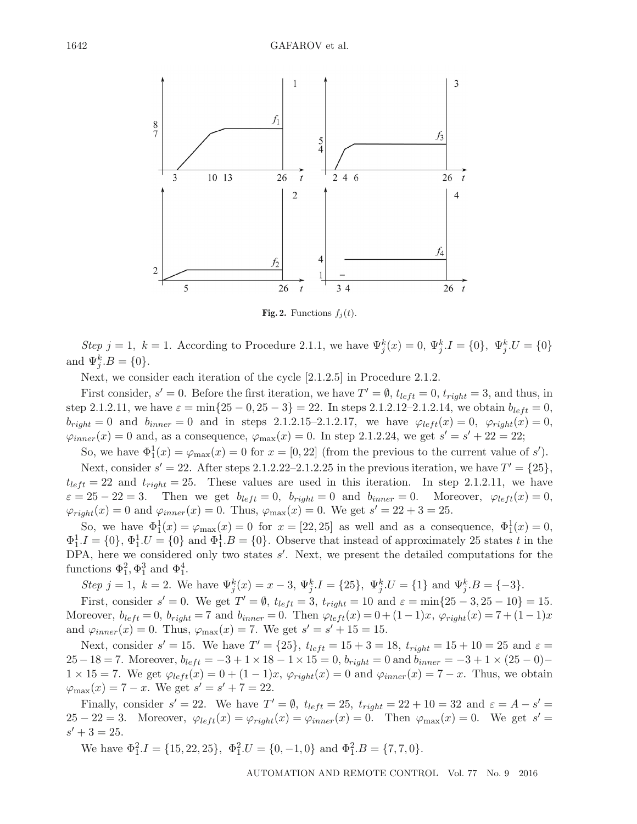

**Fig. 2.** Functions  $f_i(t)$ .

*Step*  $j = 1, k = 1$ . According to Procedure 2.1.1, we have  $\Psi_j^k(x) = 0, \Psi_j^k I = \{0\}, \Psi_j^k U = \{0\}$ and  $\Psi_j^k$ . $B = \{0\}.$ 

Next, we consider each iteration of the cycle [2.1.2.5] in Procedure 2.1.2.

First consider,  $s' = 0$ . Before the first iteration, we have  $T' = \emptyset$ ,  $t_{left} = 0$ ,  $t_{right} = 3$ , and thus, in step 2.1.2.11, we have  $\varepsilon = \min\{25 - 0.25 - 3\} = 22$ . In steps 2.1.2.12–2.1.2.14, we obtain  $b_{left} = 0$ ,  $b_{right} = 0$  and  $b_{inner} = 0$  and in steps 2.1.2.15–2.1.2.17, we have  $\varphi_{left}(x) = 0$ ,  $\varphi_{right}(x) = 0$ ,  $\varphi_{inner}(x) = 0$  and, as a consequence,  $\varphi_{max}(x) = 0$ . In step 2.1.2.24, we get  $s' = s' + 22 = 22$ ;

So, we have  $\Phi_1^1(x) = \varphi_{\text{max}}(x) = 0$  for  $x = [0, 22]$  (from the previous to the current value of s').

Next, consider  $s' = 22$ . After steps 2.1.2.22–2.1.2.25 in the previous iteration, we have  $T' = \{25\}$ ,  $t_{left} = 22$  and  $t_{right} = 25$ . These values are used in this iteration. In step 2.1.2.11, we have  $\varepsilon = 25 - 22 = 3$ . Then we get  $b_{left} = 0$ ,  $b_{right} = 0$  and  $b_{inner} = 0$ . Moreover,  $\varphi_{left}(x) = 0$ ,  $\varphi_{right}(x) = 0$  and  $\varphi_{inner}(x) = 0$ . Thus,  $\varphi_{max}(x) = 0$ . We get  $s' = 22 + 3 = 25$ .

So, we have  $\Phi_1^1(x) = \varphi_{\text{max}}(x) = 0$  for  $x = [22, 25]$  as well and as a consequence,  $\Phi_1^1(x) = 0$ ,  $\Phi_1^1.I = \{0\}, \Phi_1^1.U = \{0\}$  and  $\Phi_1^1.B = \{0\}.$  Observe that instead of approximately 25 states t in the DPA, here we considered only two states  $s'$ . Next, we present the detailed computations for the functions  $\Phi_1^2, \Phi_1^3$  and  $\Phi_1^4$ .

*Step*  $j = 1$ ,  $k = 2$ . We have  $\Psi_j^k(x) = x - 3$ ,  $\Psi_j^k I = \{25\}$ ,  $\Psi_j^k U = \{1\}$  and  $\Psi_j^k B = \{-3\}$ .

First, consider  $s' = 0$ . We get  $T' = \emptyset$ ,  $t_{left} = 3$ ,  $t_{right} = 10$  and  $\varepsilon = \min\{25 - 3, 25 - 10\} = 15$ . Moreover,  $b_{left} = 0$ ,  $b_{right} = 7$  and  $b_{inner} = 0$ . Then  $\varphi_{left}(x) = 0 + (1-1)x$ ,  $\varphi_{right}(x) = 7 + (1-1)x$ and  $\varphi_{inner}(x) = 0$ . Thus,  $\varphi_{\text{max}}(x) = 7$ . We get  $s' = s' + 15 = 15$ .

Next, consider  $s' = 15$ . We have  $T' = \{25\}$ ,  $t_{left} = 15 + 3 = 18$ ,  $t_{right} = 15 + 10 = 25$  and  $\varepsilon =$  $25-18=7$ . Moreover,  $b_{left} = -3+1 \times 18-1 \times 15=0$ ,  $b_{right} = 0$  and  $b_{inner} = -3+1 \times (25-0)$  $1 \times 15 = 7$ . We get  $\varphi_{left}(x) = 0 + (1 - 1)x$ ,  $\varphi_{right}(x) = 0$  and  $\varphi_{inner}(x) = 7 - x$ . Thus, we obtain  $\varphi_{\text{max}}(x) = 7 - x$ . We get  $s' = s' + 7 = 22$ .

Finally, consider  $s' = 22$ . We have  $T' = \emptyset$ ,  $t_{left} = 25$ ,  $t_{right} = 22 + 10 = 32$  and  $\varepsilon = A - s' =$  $25 - 22 = 3$ . Moreover,  $\varphi_{left}(x) = \varphi_{right}(x) = \varphi_{inner}(x) = 0$ . Then  $\varphi_{max}(x) = 0$ . We get  $s' =$  $s' + 3 = 25.$ 

We have  $\Phi_1^2.I = \{15, 22, 25\}, \ \Phi_1^2.U = \{0, -1, 0\} \text{ and } \Phi_1^2.B = \{7, 7, 0\}.$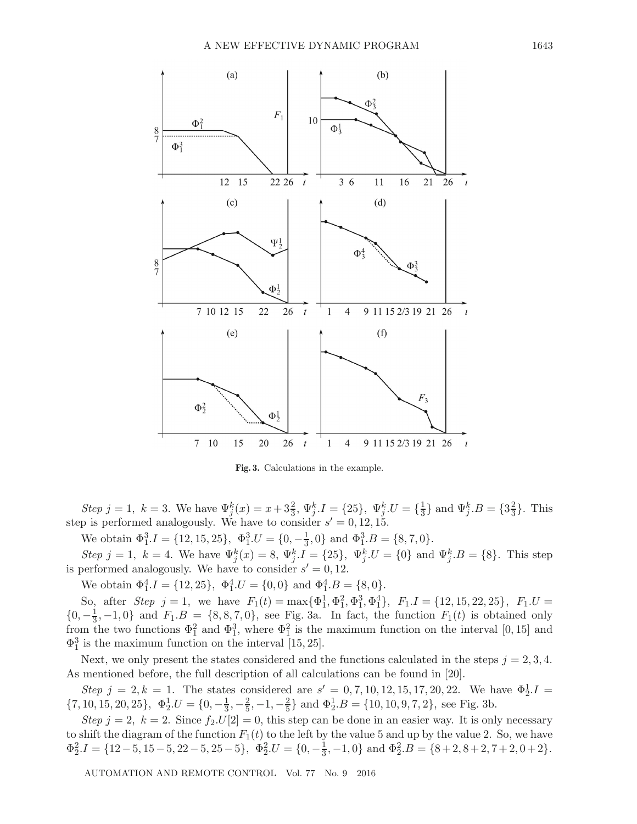

**Fig. 3.** Calculations in the example.

*Step*  $j = 1, k = 3$ . We have  $\Psi_j^k(x) = x + 3\frac{2}{3}, \Psi_j^k I = \{25\}, \Psi_j^k U = \{\frac{1}{3}\}$  and  $\Psi_j^k B = \{3\frac{2}{3}\}.$  This step is performed analogously. We have to consider  $s' = 0, 12, 15$ .

We obtain  $\Phi_1^3$ ,  $I = \{12, 15, 25\}$ ,  $\Phi_1^3$ ,  $U = \{0, -\frac{1}{3}, 0\}$  and  $\Phi_1^3$ ,  $B = \{8, 7, 0\}$ .

*Step*  $j = 1, k = 4$ . We have  $\Psi_j^k(x) = 8, \Psi_j^k I = \{25\}, \Psi_j^k U = \{0\}$  and  $\Psi_j^k B = \{8\}$ . This step is performed analogously. We have to consider  $s' = 0, 12$ .

We obtain  $\Phi_1^4$ . $I = \{12, 25\}$ ,  $\Phi_1^4$ . $U = \{0, 0\}$  and  $\Phi_1^4$ . $B = \{8, 0\}$ .

So, after *Step*  $j = 1$ , we have  $F_1(t) = \max\{\Phi_1^1, \Phi_1^2, \Phi_1^3, \Phi_1^4\}$ ,  $F_1.I = \{12, 15, 22, 25\}$ ,  $F_1.I =$  ${0, -\frac{1}{3}, -1, 0}$  and  $F_1.B = {8, 8, 7, 0}$ , see Fig. 3a. In fact, the function  $F_1(t)$  is obtained only from the two functions  $\Phi_1^2$  and  $\Phi_1^3$ , where  $\Phi_1^2$  is the maximum function on the interval [0, 15] and  $\Phi_1^3$  is the maximum function on the interval [15, 25].

Next, we only present the states considered and the functions calculated in the steps  $j = 2, 3, 4$ . As mentioned before, the full description of all calculations can be found in [20].

*Step*  $j = 2, k = 1$ . The states considered are  $s' = 0, 7, 10, 12, 15, 17, 20, 22$ . We have  $\Phi_2^1 I =$  $\{7, 10, 15, 20, 25\}, \ \Phi_2^1 \cdot U = \{0, -\frac{1}{3}, -\frac{2}{5}, -1, -\frac{2}{5}\} \text{ and } \Phi_2^1 \cdot B = \{10, 10, 9, 7, 2\}, \text{ see Fig. 3b.}$ 

*Step*  $j = 2$ ,  $k = 2$ . Since  $f_2 \cdot U[2] = 0$ , this step can be done in an easier way. It is only necessary to shift the diagram of the function  $F_1(t)$  to the left by the value 5 and up by the value 2. So, we have  $\Phi_2^2$ . $I = \{12-5, 15-5, 22-5, 25-5\}, \ \Phi_2^2$ . $U = \{0, -\frac{1}{3}, -1, 0\} \text{ and } \Phi_2^2$ . $B = \{8+2, 8+2, 7+2, 0+2\}.$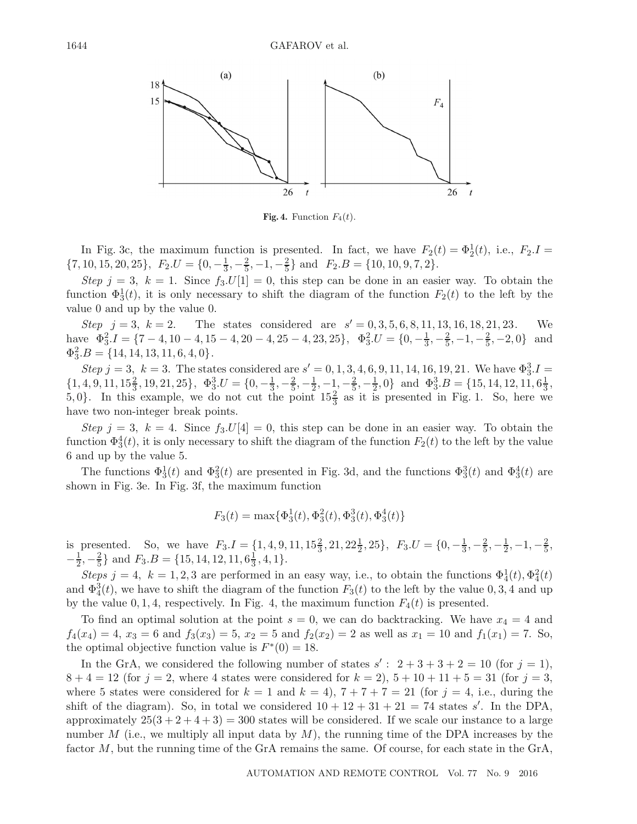

**Fig. 4.** Function  $F_4(t)$ .

In Fig. 3c, the maximum function is presented. In fact, we have  $F_2(t) = \Phi_2^1(t)$ , i.e.,  $F_2.I =$  $\{7, 10, 15, 20, 25\}, F_2.U = \{0, -\frac{1}{3}, -\frac{2}{5}, -1, -\frac{2}{5}\}$  and  $F_2.B = \{10, 10, 9, 7, 2\}.$ 

*Step*  $j = 3$ ,  $k = 1$ . Since  $f_3 \cdot U[1] = 0$ , this step can be done in an easier way. To obtain the function  $\Phi_3^1(t)$ , it is only necessary to shift the diagram of the function  $F_2(t)$  to the left by the value 0 and up by the value 0.

*Step*  $j = 3$ ,  $k = 2$ . The states considered are  $s' = 0, 3, 5, 6, 8, 11, 13, 16, 18, 21, 23$ . We have  $\Phi_3^2 \cdot I = \{7 - 4, 10 - 4, 15 - 4, 20 - 4, 25 - 4, 23, 25\}, \quad \Phi_3^2 \cdot U = \{0, -\frac{1}{3}, -\frac{2}{5}, -1, -\frac{2}{5}, -2, 0\}$  and  $\Phi_3^2.B = \{14, 14, 13, 11, 6, 4, 0\}.$ 

 $Step j = 3, k = 3.$  The states considered are  $s' = 0, 1, 3, 4, 6, 9, 11, 14, 16, 19, 21.$  We have  $\Phi_3^3.I =$  $\{1,4,9,11,15\frac{2}{3},19,21,25\},\ \Phi_3^3.U=\{0,-\frac{1}{3},-\frac{2}{5},-\frac{1}{2},-1,-\frac{2}{5},-\frac{1}{2},0\}$  and  $\Phi_3^3.B=\{15,14,12,11,6\frac{1}{3},$ 5, 0}. In this example, we do not cut the point  $15\frac{2}{3}$  as it is presented in Fig. 1. So, here we have two non-integer break points.

*Step*  $j = 3$ ,  $k = 4$ . Since  $f_3 \cdot U[4] = 0$ , this step can be done in an easier way. To obtain the function  $\Phi_3^4(t)$ , it is only necessary to shift the diagram of the function  $F_2(t)$  to the left by the value 6 and up by the value 5.

The functions  $\Phi_3^1(t)$  and  $\Phi_3^2(t)$  are presented in Fig. 3d, and the functions  $\Phi_3^3(t)$  and  $\Phi_4^4(t)$  are shown in Fig. 3e. In Fig. 3f, the maximum function

$$
F_3(t) = \max\{\Phi_3^1(t), \Phi_3^2(t), \Phi_3^3(t), \Phi_3^4(t)\}\
$$

is presented. So, we have  $F_3.I = \{1, 4, 9, 11, 15\frac{2}{3}, 21, 22\frac{1}{2}, 25\}$ ,  $F_3.I = \{0, -\frac{1}{3}, -\frac{2}{5}, -\frac{1}{2}, -1, -\frac{2}{5},$  $-\frac{1}{2}, -\frac{2}{5}$  and  $F_3.B = \{15, 14, 12, 11, 6\frac{1}{3}, 4, 1\}.$ 

*Steps*  $j = 4$ ,  $k = 1, 2, 3$  are performed in an easy way, i.e., to obtain the functions  $\Phi_4^1(t)$ ,  $\Phi_4^2(t)$ and  $\Phi_4^3(t)$ , we have to shift the diagram of the function  $F_3(t)$  to the left by the value 0, 3, 4 and up by the value 0, 1, 4, respectively. In Fig. 4, the maximum function  $F_4(t)$  is presented.

To find an optimal solution at the point  $s = 0$ , we can do backtracking. We have  $x_4 = 4$  and  $f_4(x_4) = 4, x_3 = 6$  and  $f_3(x_3) = 5, x_2 = 5$  and  $f_2(x_2) = 2$  as well as  $x_1 = 10$  and  $f_1(x_1) = 7$ . So, the optimal objective function value is  $F^*(0) = 18$ .

In the GrA, we considered the following number of states  $s' : 2 + 3 + 3 + 2 = 10$  (for  $j = 1$ ),  $8 + 4 = 12$  (for  $j = 2$ , where 4 states were considered for  $k = 2$ ),  $5 + 10 + 11 + 5 = 31$  (for  $j = 3$ , where 5 states were considered for  $k = 1$  and  $k = 4$ ,  $7 + 7 + 7 = 21$  (for  $j = 4$ , i.e., during the shift of the diagram). So, in total we considered  $10 + 12 + 31 + 21 = 74$  states s'. In the DPA, approximately  $25(3 + 2 + 4 + 3) = 300$  states will be considered. If we scale our instance to a large number  $M$  (i.e., we multiply all input data by  $M$ ), the running time of the DPA increases by the factor M, but the running time of the GrA remains the same. Of course, for each state in the GrA,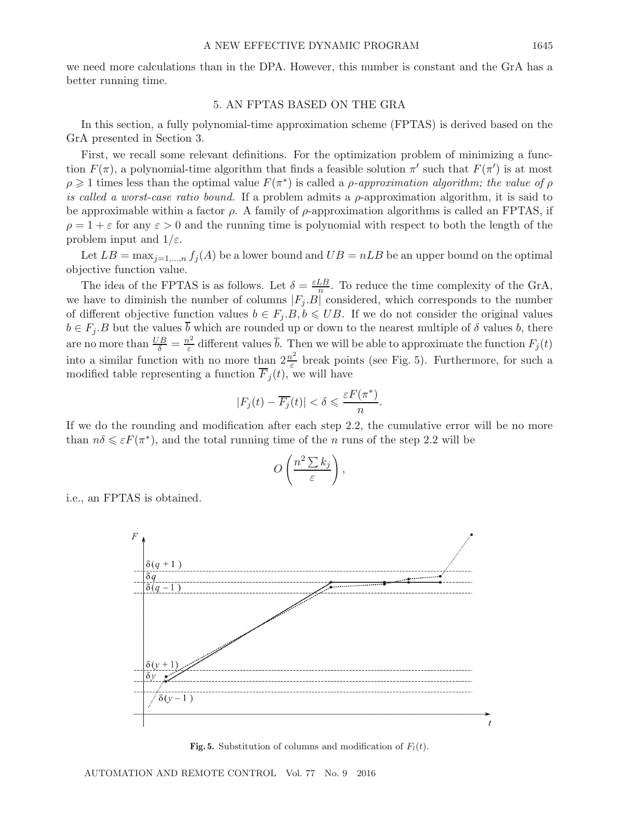we need more calculations than in the DPA. However, this number is constant and the GrA has a better running time.

## 5. AN FPTAS BASED ON THE GRA

In this section, a fully polynomial-time approximation scheme (FPTAS) is derived based on the GrA presented in Section 3.

First, we recall some relevant definitions. For the optimization problem of minimizing a function  $F(\pi)$ , a polynomial-time algorithm that finds a feasible solution  $\pi'$  such that  $F(\pi')$  is at most  $\rho \geq 1$  times less than the optimal value  $F(\pi^*)$  is called a *ρ-approximation algorithm; the value of*  $\rho$ *is called a worst-case ratio bound.* If a problem admits a ρ-approximation algorithm, it is said to be approximable within a factor  $\rho$ . A family of  $\rho$ -approximation algorithms is called an FPTAS, if  $\rho = 1 + \varepsilon$  for any  $\varepsilon > 0$  and the running time is polynomial with respect to both the length of the problem input and  $1/\varepsilon$ .

Let  $LB = \max_{i=1,...,n} f_i(A)$  be a lower bound and  $UB = nLB$  be an upper bound on the optimal objective function value.

The idea of the FPTAS is as follows. Let  $\delta = \frac{\varepsilon L B}{n}$ . To reduce the time complexity of the GrA, we have to diminish the number of columns  $|F_j.B|$  considered, which corresponds to the number of different objective function values  $b \in F_j.B, b \leqslant UB$ . If we do not consider the original values  $b \in F_i$ . B but the values  $\overline{b}$  which are rounded up or down to the nearest multiple of  $\delta$  values b, there are no more than  $\frac{UB}{\delta} = \frac{n^2}{\varepsilon}$  different values  $\overline{b}$ . Then we will be able to approximate the function  $F_j(t)$ into a similar function with no more than  $2\frac{n^2}{\varepsilon}$  break points (see Fig. 5). Furthermore, for such a modified table representing a function  $\overline{F}_j(t)$ , we will have

$$
|F_j(t) - \overline{F_j}(t)| < \delta \leq \frac{\varepsilon F(\pi^*)}{n}.
$$

If we do the rounding and modification after each step 2.2, the cumulative error will be no more than  $n\delta \leq \varepsilon F(\pi^*)$ , and the total running time of the n runs of the step 2.2 will be

$$
O\left(\frac{n^2 \sum k_j}{\varepsilon}\right)
$$

,

i.e., an FPTAS is obtained.



**Fig. 5.** Substitution of columns and modification of  $F_l(t)$ .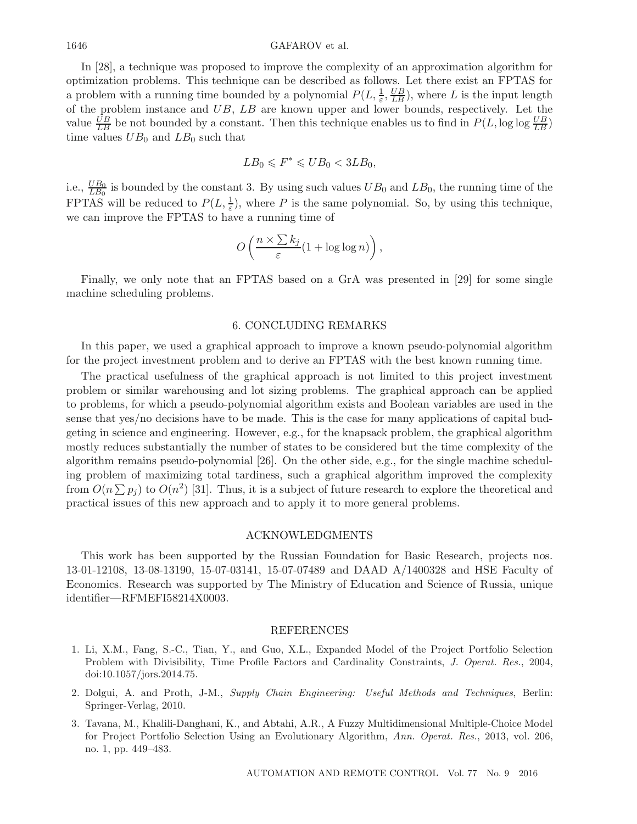In [28], a technique was proposed to improve the complexity of an approximation algorithm for optimization problems. This technique can be described as follows. Let there exist an FPTAS for a problem with a running time bounded by a polynomial  $P(L, \frac{1}{\varepsilon}, \frac{UB}{LB})$ , where L is the input length of the problem instance and UB, LB are known upper and lower bounds, respectively. Let the value  $\frac{UB}{LB}$  be not bounded by a constant. Then this technique enables us to find in  $P(L, \log \log \frac{UB}{LB})$ time values  $UB_0$  and  $LB_0$  such that

$$
LB_0 \leqslant F^* \leqslant UB_0 < 3LB_0,
$$

i.e.,  $\frac{UB_0}{LB_0}$  is bounded by the constant 3. By using such values  $UB_0$  and  $LB_0$ , the running time of the FPTAS will be reduced to  $P(L, \frac{1}{\varepsilon})$ , where P is the same polynomial. So, by using this technique, we can improve the FPTAS to have a running time of

$$
O\left(\frac{n \times \sum k_j}{\varepsilon}(1 + \log \log n)\right),\,
$$

Finally, we only note that an FPTAS based on a GrA was presented in [29] for some single machine scheduling problems.

# 6. CONCLUDING REMARKS

In this paper, we used a graphical approach to improve a known pseudo-polynomial algorithm for the project investment problem and to derive an FPTAS with the best known running time.

The practical usefulness of the graphical approach is not limited to this project investment problem or similar warehousing and lot sizing problems. The graphical approach can be applied to problems, for which a pseudo-polynomial algorithm exists and Boolean variables are used in the sense that yes/no decisions have to be made. This is the case for many applications of capital budgeting in science and engineering. However, e.g., for the knapsack problem, the graphical algorithm mostly reduces substantially the number of states to be considered but the time complexity of the algorithm remains pseudo-polynomial [26]. On the other side, e.g., for the single machine scheduling problem of maximizing total tardiness, such a graphical algorithm improved the complexity from  $O(n \sum p_j)$  to  $O(n^2)$  [31]. Thus, it is a subject of future research to explore the theoretical and practical issues of this new approach and to apply it to more general problems.

## ACKNOWLEDGMENTS

This work has been supported by the Russian Foundation for Basic Research, projects nos. 13-01-12108, 13-08-13190, 15-07-03141, 15-07-07489 and DAAD A/1400328 and HSE Faculty of Economics. Research was supported by The Ministry of Education and Science of Russia, unique identifier—RFMEFI58214X0003.

## REFERENCES

- 1. Li, X.M., Fang, S.-C., Tian, Y., and Guo, X.L., Expanded Model of the Project Portfolio Selection Problem with Divisibility, Time Profile Factors and Cardinality Constraints, *J. Operat. Res.*, 2004, doi:10.1057/jors.2014.75.
- 2. Dolgui, A. and Proth, J-M., *Supply Chain Engineering: Useful Methods and Techniques*, Berlin: Springer-Verlag, 2010.
- 3. Tavana, M., Khalili-Danghani, K., and Abtahi, A.R., A Fuzzy Multidimensional Multiple-Choice Model for Project Portfolio Selection Using an Evolutionary Algorithm, *Ann. Operat. Res.*, 2013, vol. 206, no. 1, pp. 449–483.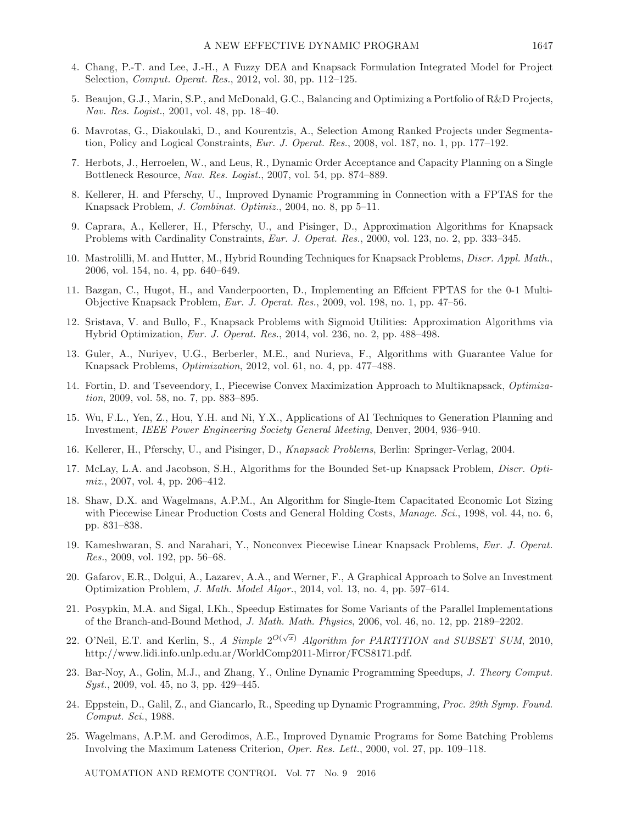- 4. Chang, P.-T. and Lee, J.-H., A Fuzzy DEA and Knapsack Formulation Integrated Model for Project Selection, *Comput. Operat. Res.*, 2012, vol. 30, pp. 112–125.
- 5. Beaujon, G.J., Marin, S.P., and McDonald, G.C., Balancing and Optimizing a Portfolio of R&D Projects, *Nav. Res. Logist.*, 2001, vol. 48, pp. 18–40.
- 6. Mavrotas, G., Diakoulaki, D., and Kourentzis, A., Selection Among Ranked Projects under Segmentation, Policy and Logical Constraints, *Eur. J. Operat. Res.*, 2008, vol. 187, no. 1, pp. 177–192.
- 7. Herbots, J., Herroelen, W., and Leus, R., Dynamic Order Acceptance and Capacity Planning on a Single Bottleneck Resource, *Nav. Res. Logist.*, 2007, vol. 54, pp. 874–889.
- 8. Kellerer, H. and Pferschy, U., Improved Dynamic Programming in Connection with a FPTAS for the Knapsack Problem, *J. Combinat. Optimiz.*, 2004, no. 8, pp 5–11.
- 9. Caprara, A., Kellerer, H., Pferschy, U., and Pisinger, D., Approximation Algorithms for Knapsack Problems with Cardinality Constraints, *Eur. J. Operat. Res.*, 2000, vol. 123, no. 2, pp. 333–345.
- 10. Mastrolilli, M. and Hutter, M., Hybrid Rounding Techniques for Knapsack Problems, *Discr. Appl. Math.*, 2006, vol. 154, no. 4, pp. 640–649.
- 11. Bazgan, C., Hugot, H., and Vanderpoorten, D., Implementing an Effcient FPTAS for the 0-1 Multi-Objective Knapsack Problem, *Eur. J. Operat. Res.*, 2009, vol. 198, no. 1, pp. 47–56.
- 12. Sristava, V. and Bullo, F., Knapsack Problems with Sigmoid Utilities: Approximation Algorithms via Hybrid Optimization, *Eur. J. Operat. Res.*, 2014, vol. 236, no. 2, pp. 488–498.
- 13. Guler, A., Nuriyev, U.G., Berberler, M.E., and Nurieva, F., Algorithms with Guarantee Value for Knapsack Problems, *Optimization*, 2012, vol. 61, no. 4, pp. 477–488.
- 14. Fortin, D. and Tseveendory, I., Piecewise Convex Maximization Approach to Multiknapsack, *Optimization*, 2009, vol. 58, no. 7, pp. 883–895.
- 15. Wu, F.L., Yen, Z., Hou, Y.H. and Ni, Y.X., Applications of AI Techniques to Generation Planning and Investment, *IEEE Power Engineering Society General Meeting*, Denver, 2004, 936–940.
- 16. Kellerer, H., Pferschy, U., and Pisinger, D., *Knapsack Problems*, Berlin: Springer-Verlag, 2004.
- 17. McLay, L.A. and Jacobson, S.H., Algorithms for the Bounded Set-up Knapsack Problem, *Discr. Optimiz.*, 2007, vol. 4, pp. 206–412.
- 18. Shaw, D.X. and Wagelmans, A.P.M., An Algorithm for Single-Item Capacitated Economic Lot Sizing with Piecewise Linear Production Costs and General Holding Costs, *Manage. Sci.*, 1998, vol. 44, no. 6, pp. 831–838.
- 19. Kameshwaran, S. and Narahari, Y., Nonconvex Piecewise Linear Knapsack Problems, *Eur. J. Operat. Res.*, 2009, vol. 192, pp. 56–68.
- 20. Gafarov, E.R., Dolgui, A., Lazarev, A.A., and Werner, F., A Graphical Approach to Solve an Investment Optimization Problem, *J. Math. Model Algor.*, 2014, vol. 13, no. 4, pp. 597–614.
- 21. Posypkin, M.A. and Sigal, I.Kh., Speedup Estimates for Some Variants of the Parallel Implementations of the Branch-and-Bound Method, *J. Math. Math. Physics*, 2006, vol. 46, no. 12, pp. 2189–2202.
- 22. O'Neil, E.T. and Kerlin, S., *A Simple*  $2^{O(\sqrt{x})}$  *Algorithm for PARTITION and SUBSET SUM*, 2010, http://www.lidi.info.unlp.edu.ar/WorldComp2011-Mirror/FCS8171.pdf.
- 23. Bar-Noy, A., Golin, M.J., and Zhang, Y., Online Dynamic Programming Speedups, *J. Theory Comput. Syst.*, 2009, vol. 45, no 3, pp. 429–445.
- 24. Eppstein, D., Galil, Z., and Giancarlo, R., Speeding up Dynamic Programming, *Proc. 29th Symp. Found. Comput. Sci.*, 1988.
- 25. Wagelmans, A.P.M. and Gerodimos, A.E., Improved Dynamic Programs for Some Batching Problems Involving the Maximum Lateness Criterion, *Oper. Res. Lett.*, 2000, vol. 27, pp. 109–118.